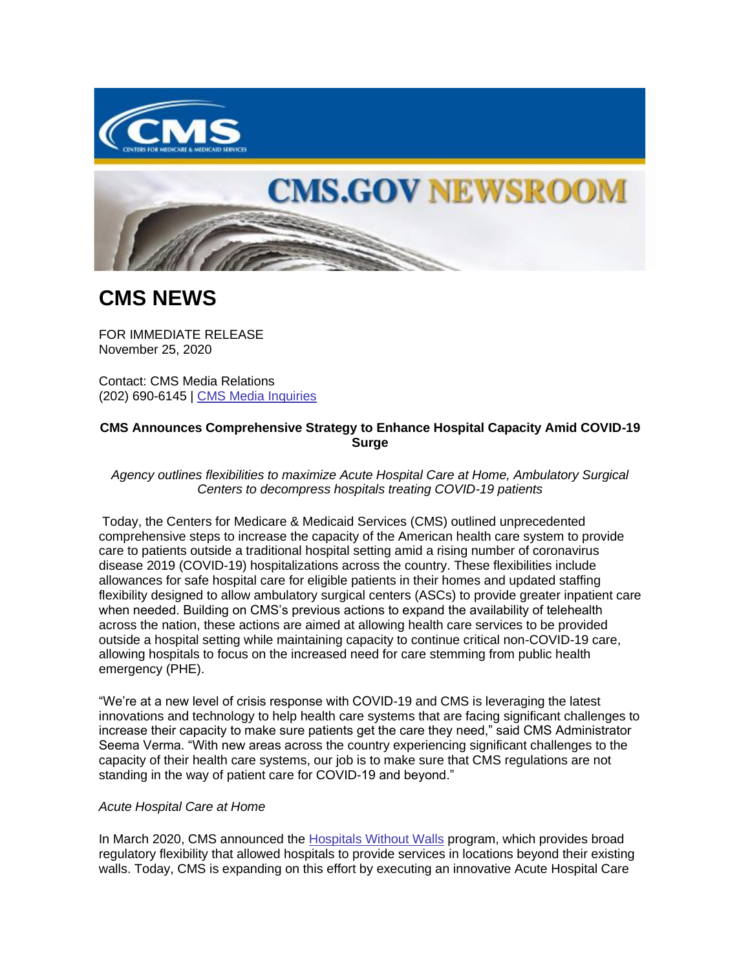



## **CMS NEWS**

FOR IMMEDIATE RELEASE November 25, 2020

Contact: CMS Media Relations (202) 690-6145 | [CMS Media Inquiries](https://lnks.gd/l/eyJhbGciOiJIUzI1NiJ9.eyJidWxsZXRpbl9saW5rX2lkIjoxMDAsInVyaSI6ImJwMjpjbGljayIsImJ1bGxldGluX2lkIjoiMjAyMDExMjUuMzExMzI3NjEiLCJ1cmwiOiJodHRwczovL3d3dy5jbXMuZ292L25ld3Nyb29tL21lZGlhLWlucXVpcmllcyJ9.dOtkiy7tfLQgvauT5hobW9RVWkKbMWaYc1_MZRchGc4/s/1086872215/br/90524533448-l)

## **CMS Announces Comprehensive Strategy to Enhance Hospital Capacity Amid COVID-19 Surge**

*Agency outlines flexibilities to maximize Acute Hospital Care at Home, Ambulatory Surgical Centers to decompress hospitals treating COVID-19 patients* 

Today, the Centers for Medicare & Medicaid Services (CMS) outlined unprecedented comprehensive steps to increase the capacity of the American health care system to provide care to patients outside a traditional hospital setting amid a rising number of coronavirus disease 2019 (COVID-19) hospitalizations across the country. These flexibilities include allowances for safe hospital care for eligible patients in their homes and updated staffing flexibility designed to allow ambulatory surgical centers (ASCs) to provide greater inpatient care when needed. Building on CMS's previous actions to expand the availability of telehealth across the nation, these actions are aimed at allowing health care services to be provided outside a hospital setting while maintaining capacity to continue critical non-COVID-19 care, allowing hospitals to focus on the increased need for care stemming from public health emergency (PHE).

"We're at a new level of crisis response with COVID-19 and CMS is leveraging the latest innovations and technology to help health care systems that are facing significant challenges to increase their capacity to make sure patients get the care they need," said CMS Administrator Seema Verma. "With new areas across the country experiencing significant challenges to the capacity of their health care systems, our job is to make sure that CMS regulations are not standing in the way of patient care for COVID-19 and beyond."

## *Acute Hospital Care at Home*

In March 2020, CMS announced the [Hospitals Without Walls](https://lnks.gd/l/eyJhbGciOiJIUzI1NiJ9.eyJidWxsZXRpbl9saW5rX2lkIjoxMDEsInVyaSI6ImJwMjpjbGljayIsImJ1bGxldGluX2lkIjoiMjAyMDExMjUuMzExMzI3NjEiLCJ1cmwiOiJodHRwczovL3d3dy5jbXMuZ292L25ld3Nyb29tL2ZhY3Qtc2hlZXRzL2FkZGl0aW9uYWwtYmFja2dyb3VuZHN3ZWVwaW5nLXJlZ3VsYXRvcnktY2hhbmdlcy1oZWxwLXVzLWhlYWx0aGNhcmUtc3lzdGVtLWFkZHJlc3MtY292aWQtMTktcGF0aWVudCJ9._0z10hMb8RfCHK17ZdN9Wd7Ls8OqY_VtFysfoquwH9k/s/1086872215/br/90524533448-l) program, which provides broad regulatory flexibility that allowed hospitals to provide services in locations beyond their existing walls. Today, CMS is expanding on this effort by executing an innovative Acute Hospital Care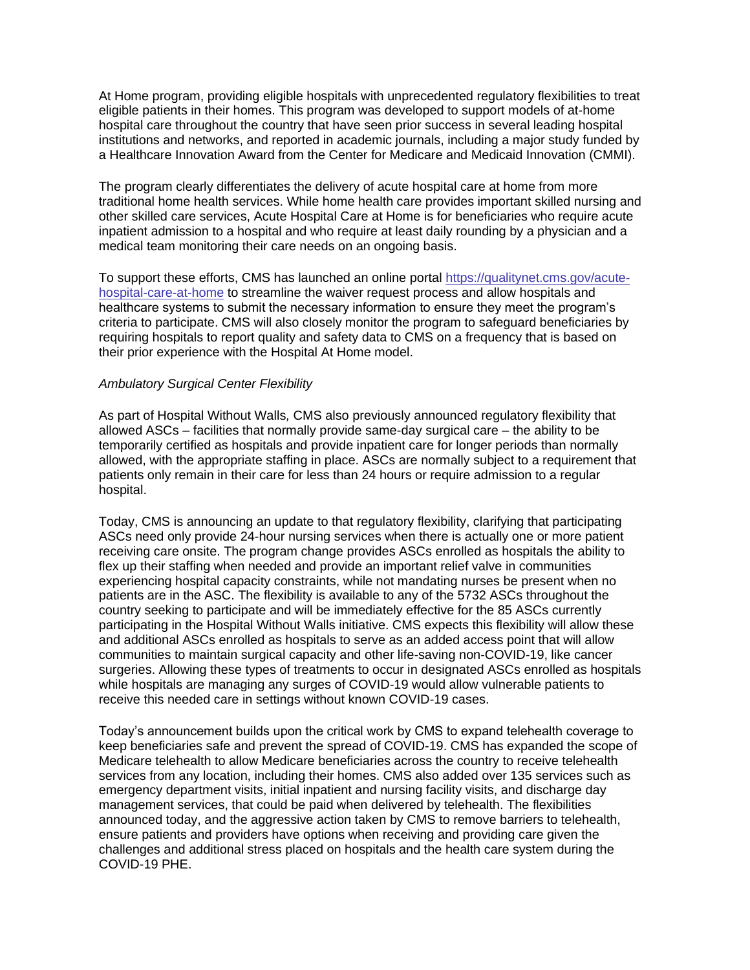At Home program, providing eligible hospitals with unprecedented regulatory flexibilities to treat eligible patients in their homes. This program was developed to support models of at-home hospital care throughout the country that have seen prior success in several leading hospital institutions and networks, and reported in academic journals, including a major study funded by a Healthcare Innovation Award from the Center for Medicare and Medicaid Innovation (CMMI).

The program clearly differentiates the delivery of acute hospital care at home from more traditional home health services. While home health care provides important skilled nursing and other skilled care services, Acute Hospital Care at Home is for beneficiaries who require acute inpatient admission to a hospital and who require at least daily rounding by a physician and a medical team monitoring their care needs on an ongoing basis.

To support these efforts, CMS has launched an online portal [https://qualitynet.cms.gov/acute](https://lnks.gd/l/eyJhbGciOiJIUzI1NiJ9.eyJidWxsZXRpbl9saW5rX2lkIjoxMDIsInVyaSI6ImJwMjpjbGljayIsImJ1bGxldGluX2lkIjoiMjAyMDExMjUuMzExMzI3NjEiLCJ1cmwiOiJodHRwczovL3F1YWxpdHluZXQuY21zLmdvdi9hY3V0ZS1ob3NwaXRhbC1jYXJlLWF0LWhvbWUifQ.FHj5V_meF1QcgBUIWa9sa9G3s422DFlPt83iHleaSUU/s/1086872215/br/90524533448-l)[hospital-care-at-home](https://lnks.gd/l/eyJhbGciOiJIUzI1NiJ9.eyJidWxsZXRpbl9saW5rX2lkIjoxMDIsInVyaSI6ImJwMjpjbGljayIsImJ1bGxldGluX2lkIjoiMjAyMDExMjUuMzExMzI3NjEiLCJ1cmwiOiJodHRwczovL3F1YWxpdHluZXQuY21zLmdvdi9hY3V0ZS1ob3NwaXRhbC1jYXJlLWF0LWhvbWUifQ.FHj5V_meF1QcgBUIWa9sa9G3s422DFlPt83iHleaSUU/s/1086872215/br/90524533448-l) to streamline the waiver request process and allow hospitals and healthcare systems to submit the necessary information to ensure they meet the program's criteria to participate. CMS will also closely monitor the program to safeguard beneficiaries by requiring hospitals to report quality and safety data to CMS on a frequency that is based on their prior experience with the Hospital At Home model.

## *Ambulatory Surgical Center Flexibility*

As part of Hospital Without Walls*,* CMS also previously announced regulatory flexibility that allowed ASCs – facilities that normally provide same-day surgical care – the ability to be temporarily certified as hospitals and provide inpatient care for longer periods than normally allowed, with the appropriate staffing in place. ASCs are normally subject to a requirement that patients only remain in their care for less than 24 hours or require admission to a regular hospital.

Today, CMS is announcing an update to that regulatory flexibility, clarifying that participating ASCs need only provide 24-hour nursing services when there is actually one or more patient receiving care onsite. The program change provides ASCs enrolled as hospitals the ability to flex up their staffing when needed and provide an important relief valve in communities experiencing hospital capacity constraints, while not mandating nurses be present when no patients are in the ASC. The flexibility is available to any of the 5732 ASCs throughout the country seeking to participate and will be immediately effective for the 85 ASCs currently participating in the Hospital Without Walls initiative. CMS expects this flexibility will allow these and additional ASCs enrolled as hospitals to serve as an added access point that will allow communities to maintain surgical capacity and other life-saving non-COVID-19, like cancer surgeries. Allowing these types of treatments to occur in designated ASCs enrolled as hospitals while hospitals are managing any surges of COVID-19 would allow vulnerable patients to receive this needed care in settings without known COVID-19 cases.

Today's announcement builds upon the critical work by CMS to expand telehealth coverage to keep beneficiaries safe and prevent the spread of COVID-19. CMS has expanded the scope of Medicare telehealth to allow Medicare beneficiaries across the country to receive telehealth services from any location, including their homes. CMS also added over 135 services such as emergency department visits, initial inpatient and nursing facility visits, and discharge day management services, that could be paid when delivered by telehealth. The flexibilities announced today, and the aggressive action taken by CMS to remove barriers to telehealth, ensure patients and providers have options when receiving and providing care given the challenges and additional stress placed on hospitals and the health care system during the COVID-19 PHE.